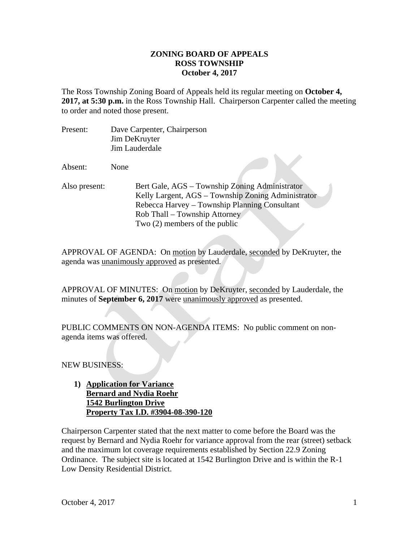## **ZONING BOARD OF APPEALS ROSS TOWNSHIP October 4, 2017**

The Ross Township Zoning Board of Appeals held its regular meeting on **October 4, 2017, at 5:30 p.m.** in the Ross Township Hall. Chairperson Carpenter called the meeting to order and noted those present.

Present: Dave Carpenter, Chairperson Jim DeKruyter Jim Lauderdale

Absent: None

Also present: Bert Gale, AGS – Township Zoning Administrator Kelly Largent, AGS – Township Zoning Administrator Rebecca Harvey – Township Planning Consultant Rob Thall – Township Attorney Two (2) members of the public

APPROVAL OF AGENDA: On motion by Lauderdale, seconded by DeKruyter, the agenda was unanimously approved as presented.

APPROVAL OF MINUTES: On motion by DeKruyter, seconded by Lauderdale, the minutes of **September 6, 2017** were unanimously approved as presented.

PUBLIC COMMENTS ON NON-AGENDA ITEMS: No public comment on nonagenda items was offered.

NEW BUSINESS:

**1) Application for Variance Bernard and Nydia Roehr 1542 Burlington Drive Property Tax I.D. #3904-08-390-120** 

Chairperson Carpenter stated that the next matter to come before the Board was the request by Bernard and Nydia Roehr for variance approval from the rear (street) setback and the maximum lot coverage requirements established by Section 22.9 Zoning Ordinance. The subject site is located at 1542 Burlington Drive and is within the R-1 Low Density Residential District.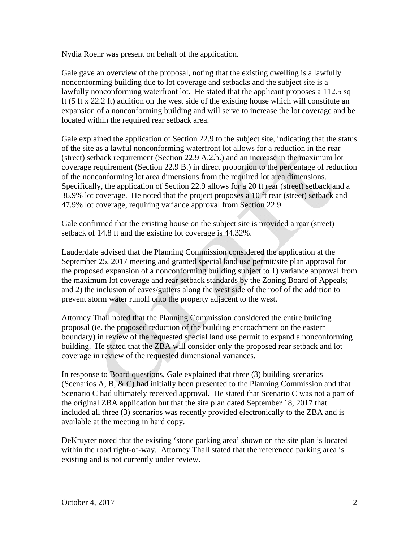Nydia Roehr was present on behalf of the application.

Gale gave an overview of the proposal, noting that the existing dwelling is a lawfully nonconforming building due to lot coverage and setbacks and the subject site is a lawfully nonconforming waterfront lot. He stated that the applicant proposes a 112.5 sq ft (5 ft x 22.2 ft) addition on the west side of the existing house which will constitute an expansion of a nonconforming building and will serve to increase the lot coverage and be located within the required rear setback area.

Gale explained the application of Section 22.9 to the subject site, indicating that the status of the site as a lawful nonconforming waterfront lot allows for a reduction in the rear (street) setback requirement (Section 22.9 A.2.b.) and an increase in the maximum lot coverage requirement (Section 22.9 B.) in direct proportion to the percentage of reduction of the nonconforming lot area dimensions from the required lot area dimensions. Specifically, the application of Section 22.9 allows for a 20 ft rear (street) setback and a 36.9% lot coverage. He noted that the project proposes a 10 ft rear (street) setback and 47.9% lot coverage, requiring variance approval from Section 22.9.

Gale confirmed that the existing house on the subject site is provided a rear (street) setback of 14.8 ft and the existing lot coverage is 44.32%.

Lauderdale advised that the Planning Commission considered the application at the September 25, 2017 meeting and granted special land use permit/site plan approval for the proposed expansion of a nonconforming building subject to 1) variance approval from the maximum lot coverage and rear setback standards by the Zoning Board of Appeals; and 2) the inclusion of eaves/gutters along the west side of the roof of the addition to prevent storm water runoff onto the property adjacent to the west.

Attorney Thall noted that the Planning Commission considered the entire building proposal (ie. the proposed reduction of the building encroachment on the eastern boundary) in review of the requested special land use permit to expand a nonconforming building. He stated that the ZBA will consider only the proposed rear setback and lot coverage in review of the requested dimensional variances.

In response to Board questions, Gale explained that three (3) building scenarios (Scenarios A, B, & C) had initially been presented to the Planning Commission and that Scenario C had ultimately received approval. He stated that Scenario C was not a part of the original ZBA application but that the site plan dated September 18, 2017 that included all three (3) scenarios was recently provided electronically to the ZBA and is available at the meeting in hard copy.

DeKruyter noted that the existing 'stone parking area' shown on the site plan is located within the road right-of-way. Attorney Thall stated that the referenced parking area is existing and is not currently under review.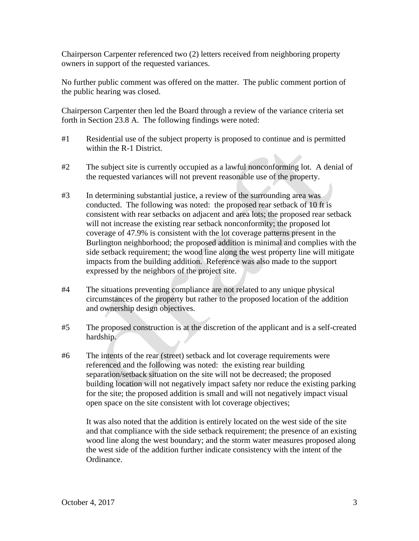Chairperson Carpenter referenced two (2) letters received from neighboring property owners in support of the requested variances.

No further public comment was offered on the matter. The public comment portion of the public hearing was closed.

Chairperson Carpenter then led the Board through a review of the variance criteria set forth in Section 23.8 A. The following findings were noted:

- #1 Residential use of the subject property is proposed to continue and is permitted within the R-1 District.
- #2 The subject site is currently occupied as a lawful nonconforming lot. A denial of the requested variances will not prevent reasonable use of the property.
- #3 In determining substantial justice, a review of the surrounding area was conducted. The following was noted: the proposed rear setback of 10 ft is consistent with rear setbacks on adjacent and area lots; the proposed rear setback will not increase the existing rear setback nonconformity; the proposed lot coverage of 47.9% is consistent with the lot coverage patterns present in the Burlington neighborhood; the proposed addition is minimal and complies with the side setback requirement; the wood line along the west property line will mitigate impacts from the building addition. Reference was also made to the support expressed by the neighbors of the project site.
- #4 The situations preventing compliance are not related to any unique physical circumstances of the property but rather to the proposed location of the addition and ownership design objectives.
- #5 The proposed construction is at the discretion of the applicant and is a self-created hardship.
- #6 The intents of the rear (street) setback and lot coverage requirements were referenced and the following was noted: the existing rear building separation/setback situation on the site will not be decreased; the proposed building location will not negatively impact safety nor reduce the existing parking for the site; the proposed addition is small and will not negatively impact visual open space on the site consistent with lot coverage objectives;

It was also noted that the addition is entirely located on the west side of the site and that compliance with the side setback requirement; the presence of an existing wood line along the west boundary; and the storm water measures proposed along the west side of the addition further indicate consistency with the intent of the Ordinance.